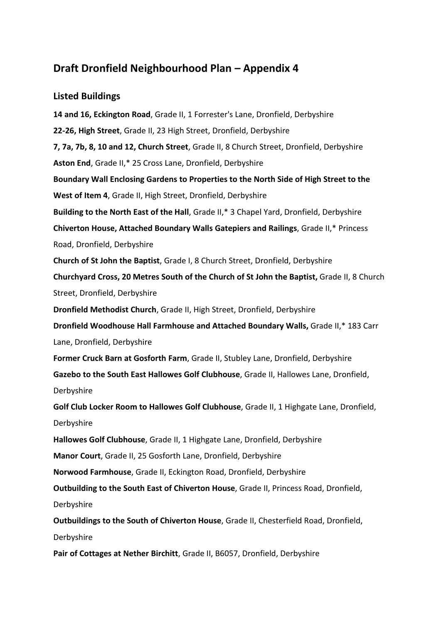## **Draft Dronfield Neighbourhood Plan – Appendix 4**

## **Listed Buildings**

**14 and 16, [Eckington](http://www.britishlistedbuildings.co.uk/en-79512-14-and-16-eckington-road-dronfield-derbys) Road**, Grade II, 1 Forrester's Lane, Dronfield, Derbyshire **[22-26,](http://www.britishlistedbuildings.co.uk/en-79524-22-26-high-street-dronfield-derbyshire) High Street**, Grade II, 23 High Street, Dronfield, Derbyshire **7, 7a, 7b, 8, 10 and 12, [Church](http://www.britishlistedbuildings.co.uk/en-79510-7-7a-7b-8-10-and-12-church-street-dronfie) Street**, Grade II, 8 Church Street, Dronfield, Derbyshire **[Aston](http://www.britishlistedbuildings.co.uk/en-79511-aston-end-dronfield-derbyshire) End**, Grade II,\* 25 Cross Lane, Dronfield, Derbyshire **Boundary Wall Enclosing Gardens to [Properties](http://www.britishlistedbuildings.co.uk/en-79527-boundary-wall-enclosing-gardens-to-proper) to the North Side of High Street to the [West](http://www.britishlistedbuildings.co.uk/en-79527-boundary-wall-enclosing-gardens-to-proper) of Item 4**, Grade II, High Street, Dronfield, Derbyshire **[Building](http://www.britishlistedbuildings.co.uk/en-79529-building-to-the-north-east-of-the-hall-dr) to the North East of the Hall**, Grade II,\* 3 Chapel Yard, Dronfield, Derbyshire **[Chiverton](http://www.britishlistedbuildings.co.uk/en-79500-chiverton-house-attached-boundary-walls-g) House, Attached Boundary Walls Gatepiers and Railings**, Grade II,\* Princess Road, Dronfield, Derbyshire **Church of St John the [Baptist](http://www.britishlistedbuildings.co.uk/en-79503-church-of-st-john-the-baptist-dronfield-d)**, Grade I, 8 Church Street, Dronfield, Derbyshire **[Churchyard](http://www.britishlistedbuildings.co.uk/en-79504-churchyard-cross-20-metres-south-of-the-c) Cross, 20 Metres South of the Church of St John the Baptist,** Grade II, 8 Church Street, Dronfield, Derbyshire **Dronfield [Methodist](http://www.britishlistedbuildings.co.uk/en-79520-dronfield-methodist-church-dronfield-derb) Church**, Grade II, High Street, Dronfield, Derbyshire **Dronfield [Woodhouse](http://www.britishlistedbuildings.co.uk/en-79498-dronfield-woodhouse-hall-farmhouse-and-at) Hall Farmhouse and Attached Boundary Walls,** Grade II,\* 183 Carr Lane, Dronfield, Derbyshire **Former Cruck Barn at [Gosforth](http://www.britishlistedbuildings.co.uk/en-79537-former-cruck-barn-at-gosforth-farm-dronfi) Farm**, Grade II, Stubley Lane, Dronfield, Derbyshire **Gazebo to the South East Hallowes Golf [Clubhouse](http://www.britishlistedbuildings.co.uk/en-79517-gazebo-to-the-south-east-hallowes-golf-cl)**, Grade II, Hallowes Lane, Dronfield, Derbyshire **Golf Club Locker Room to Hallowes Golf [Clubhouse](http://www.britishlistedbuildings.co.uk/en-79518-golf-club-locker-room-to-hallowes-golf-cl)**, Grade II, 1 Highgate Lane, Dronfield, Derbyshire **Hallowes Golf [Clubhouse](http://www.britishlistedbuildings.co.uk/en-79516-hallowes-golf-clubhouse-dronfield-derbysh)**, Grade II, 1 Highgate Lane, Dronfield, Derbyshire **[Manor](http://www.britishlistedbuildings.co.uk/en-79515-manor-court-dronfield-derbyshire) Court**, Grade II, 25 Gosforth Lane, Dronfield, Derbyshire **Norwood [Farmhouse](http://www.britishlistedbuildings.co.uk/en-79513-norwood-farmhouse-dronfield-derbyshire)**, Grade II, Eckington Road, Dronfield, Derbyshire **[Outbuilding](http://www.britishlistedbuildings.co.uk/en-459790-outbuilding-to-the-south-east-of-chivert) to the South East of Chiverton House**, Grade II, Princess Road, Dronfield, Derbyshire **[Outbuildings](http://www.britishlistedbuildings.co.uk/en-79501-outbuildings-to-the-south-of-chiverton-ho) to the South of Chiverton House**, Grade II, Chesterfield Road, Dronfield,

Derbyshire

**Pair of [Cottages](http://www.britishlistedbuildings.co.uk/en-79533-pair-of-cottages-at-nether-birchitt-dronf) at Nether Birchitt**, Grade II, B6057, Dronfield, Derbyshire